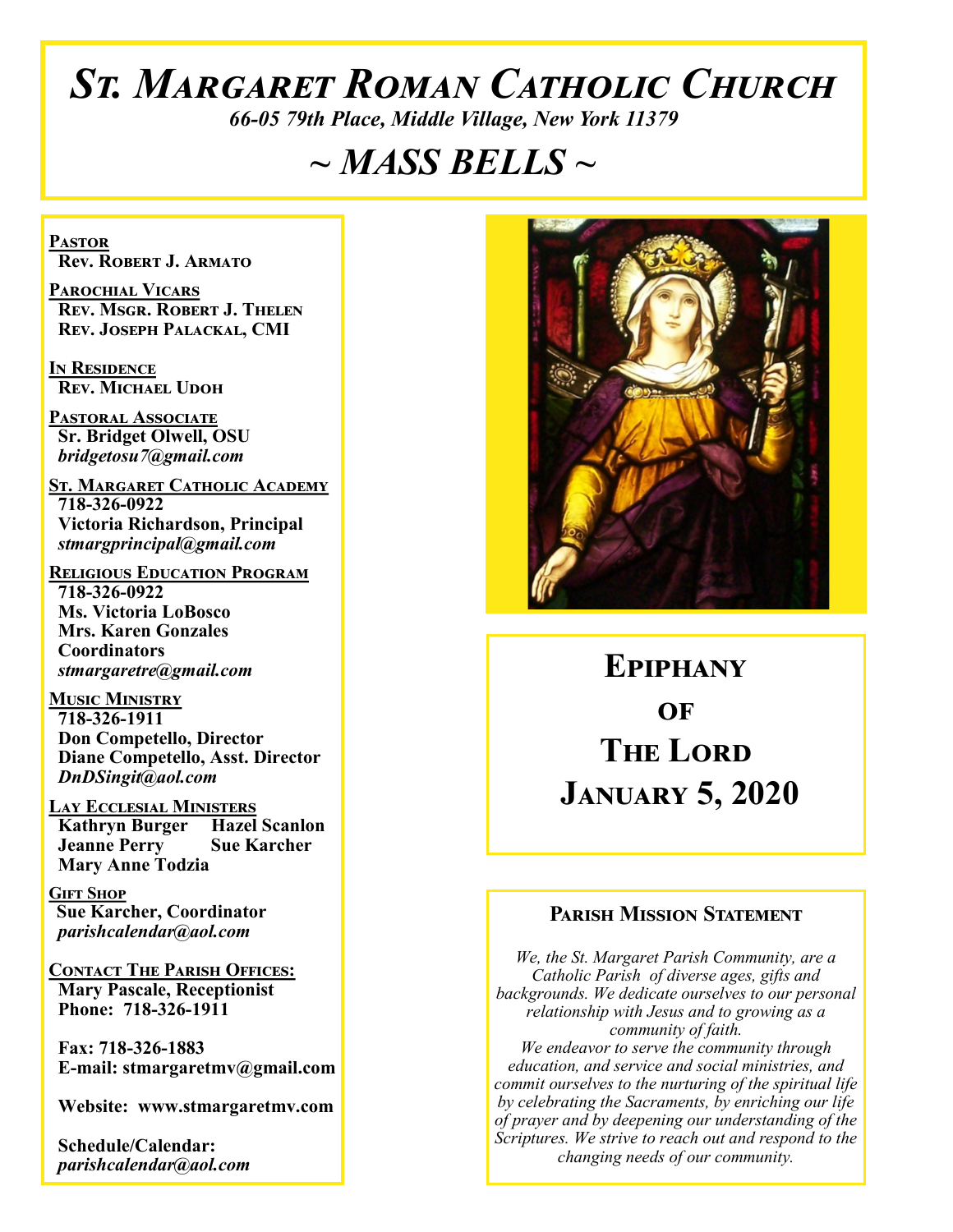# *St. Margaret Roman Catholic Church*

*66-05 79th Place, Middle Village, New York 11379*

# *~ MASS BELLS ~*

**Pastor Rev. Robert J. Armato**

**Parochial Vicars Rev. Msgr. Robert J. Thelen Rev. Joseph Palackal, CMI**

**In Residence Rev. Michael Udoh**

**Pastoral Associate Sr. Bridget Olwell, OSU**  *bridgetosu7@gmail.com*

**St. Margaret Catholic Academy 718-326-0922 Victoria Richardson, Principal**  *stmargprincipal@gmail.com*

**Religious Education Program 718-326-0922 Ms. Victoria LoBosco Mrs. Karen Gonzales Coordinators** *stmargaretre@gmail.com*

**Music Ministry 718-326-1911 Don Competello, Director Diane Competello, Asst. Director** *DnDSingit@aol.com*

**Lay Ecclesial Ministers Kathryn Burger Hazel Scanlon Jeanne Perry Sue Karcher Mary Anne Todzia**

**Gift Shop Sue Karcher, Coordinator** *parishcalendar@aol.com*

**Contact The Parish Offices: Mary Pascale, Receptionist Phone: 718-326-1911** 

 **Fax: 718-326-1883 E-mail: stmargaretmv@gmail.com**

 **Website: www.stmargaretmv.com**

 **Schedule/Calendar:** *parishcalendar@aol.com* 



**Epiphany**   $\Omega$ **F The Lord January 5, 2020** 

### **Parish Mission Statement**

*We, the St. Margaret Parish Community, are a Catholic Parish of diverse ages, gifts and backgrounds. We dedicate ourselves to our personal relationship with Jesus and to growing as a community of faith. We endeavor to serve the community through education, and service and social ministries, and commit ourselves to the nurturing of the spiritual life by celebrating the Sacraments, by enriching our life of prayer and by deepening our understanding of the Scriptures. We strive to reach out and respond to the changing needs of our community.*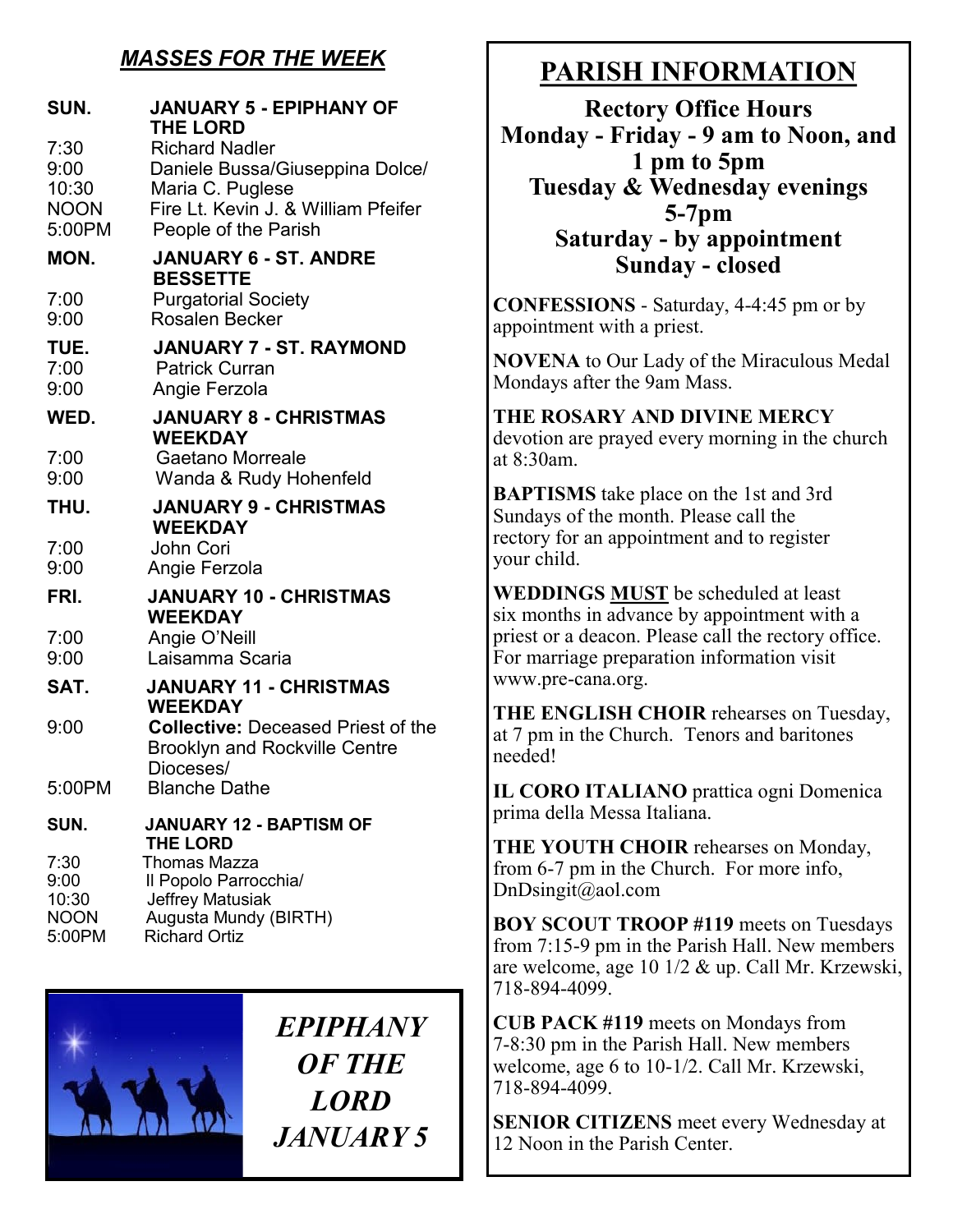# *MASSES FOR THE WEEK*

| SUN.                           | <b>JANUARY 5 - EPIPHANY OF</b><br><b>THE LORD</b>                                              |
|--------------------------------|------------------------------------------------------------------------------------------------|
| 7:30<br>9:00                   | <b>Richard Nadler</b><br>Daniele Bussa/Giuseppina Dolce/                                       |
| 10:30<br><b>NOON</b><br>5:00PM | Maria C. Puglese<br>Fire Lt. Kevin J. & William Pfeifer<br>People of the Parish                |
| MON.                           | <b>JANUARY 6 - ST. ANDRE</b>                                                                   |
|                                | <b>BESSETTE</b>                                                                                |
| 7:00                           | <b>Purgatorial Society</b>                                                                     |
| 9:00                           | <b>Rosalen Becker</b>                                                                          |
| TUE.                           | <b>JANUARY 7 - ST. RAYMOND</b>                                                                 |
| 7:00<br>9:00                   | <b>Patrick Curran</b><br>Angie Ferzola                                                         |
|                                |                                                                                                |
| WED.                           | <b>JANUARY 8 - CHRISTMAS</b><br><b>WEEKDAY</b>                                                 |
| 7:00                           | <b>Gaetano Morreale</b>                                                                        |
| 9:00                           | Wanda & Rudy Hohenfeld                                                                         |
| THU.                           | <b>JANUARY 9 - CHRISTMAS</b><br><b>WEEKDAY</b>                                                 |
| 7:00                           | John Cori                                                                                      |
| 9:00                           | Angie Ferzola                                                                                  |
| FRI.                           | <b>JANUARY 10 - CHRISTMAS</b><br><b>WEEKDAY</b>                                                |
| 7:00                           | Angie O'Neill                                                                                  |
| 9:00                           | Laisamma Scaria                                                                                |
| SAT.                           | <b>JANUARY 11 - CHRISTMAS</b><br><b>WEEKDAY</b>                                                |
| 9:00                           | <b>Collective: Deceased Priest of the</b><br><b>Brooklyn and Rockville Centre</b><br>Dioceses/ |
| 5:00PM                         | <b>Blanche Dathe</b>                                                                           |
| SUN.                           | <b>JANUARY 12 - BAPTISM OF</b>                                                                 |
| 7:30                           | <b>THE LORD</b><br><b>Thomas Mazza</b>                                                         |
| 9:00                           | Il Popolo Parrocchia/                                                                          |
| 10:30                          | Jeffrey Matusiak                                                                               |
| <b>NOON</b><br>5:00PM          | Augusta Mundy (BIRTH)<br><b>Richard Ortiz</b>                                                  |



*EPIPHANY OF THE LORD JANUARY 5*

# **PARISH INFORMATION**

**Rectory Office Hours Monday - Friday - 9 am to Noon, and 1 pm to 5pm Tuesday & Wednesday evenings 5-7pm Saturday - by appointment Sunday - closed**

**CONFESSIONS** - Saturday, 4-4:45 pm or by appointment with a priest.

**NOVENA** to Our Lady of the Miraculous Medal Mondays after the 9am Mass.

## **THE ROSARY AND DIVINE MERCY** devotion are prayed every morning in the church at 8:30am.

**BAPTISMS** take place on the 1st and 3rd Sundays of the month. Please call the rectory for an appointment and to register your child.

**WEDDINGS MUST** be scheduled at least six months in advance by appointment with a priest or a deacon. Please call the rectory office. For marriage preparation information visit www.pre-cana.org.

**THE ENGLISH CHOIR** rehearses on Tuesday, at 7 pm in the Church. Tenors and baritones needed!

**IL CORO ITALIANO** prattica ogni Domenica prima della Messa Italiana.

**THE YOUTH CHOIR** rehearses on Monday, from 6-7 pm in the Church. For more info, DnDsingit@aol.com

**BOY SCOUT TROOP #119** meets on Tuesdays from 7:15-9 pm in the Parish Hall. New members are welcome, age 10 1/2 & up. Call Mr. Krzewski, 718-894-4099.

**CUB PACK #119** meets on Mondays from 7-8:30 pm in the Parish Hall. New members welcome, age 6 to 10-1/2. Call Mr. Krzewski, 718-894-4099.

**SENIOR CITIZENS** meet every Wednesday at 12 Noon in the Parish Center.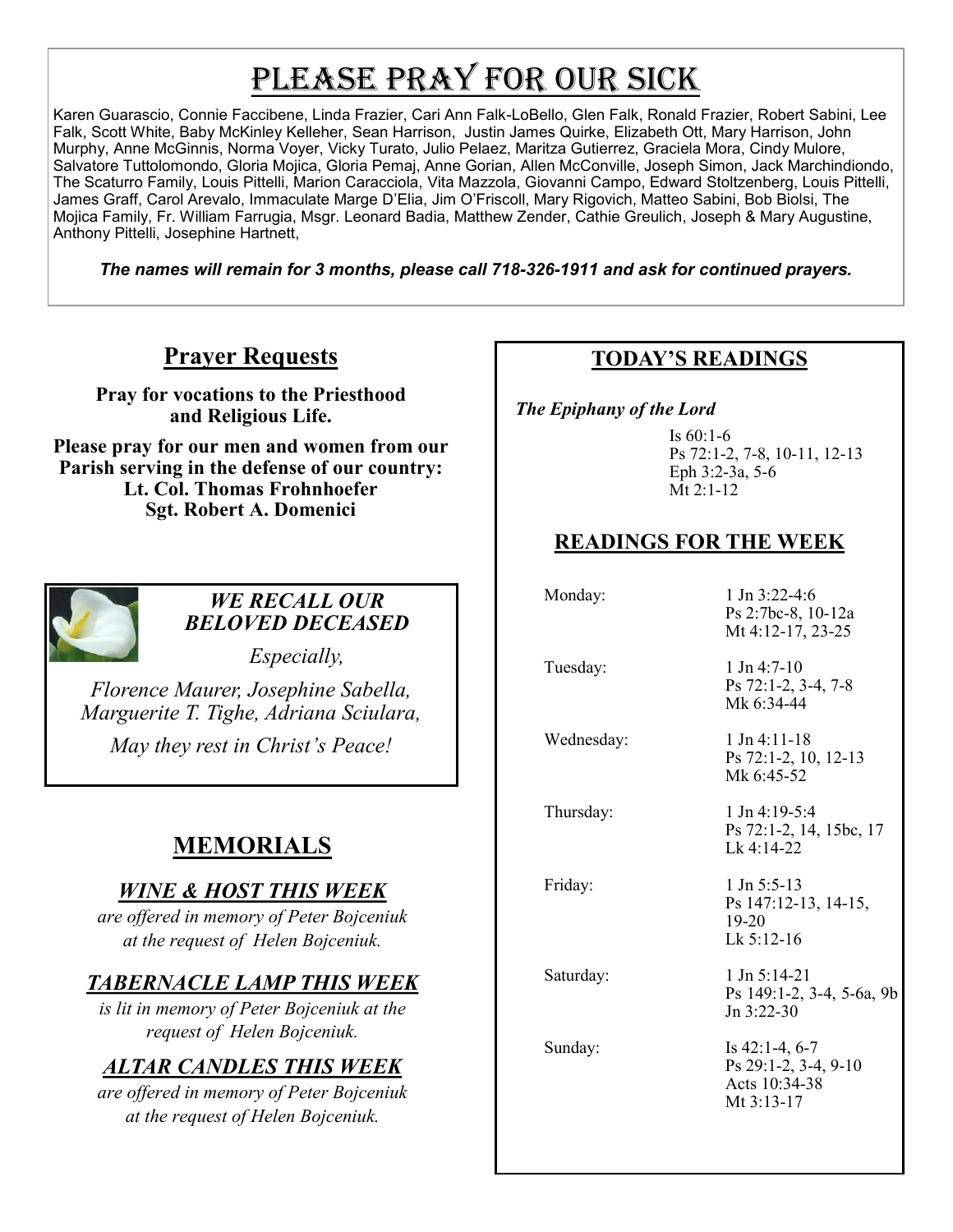# PLEASE PRAY FOR OUR SICK

Karen Guarascio, Connie Faccibene, Linda Frazier, Cari Ann Falk-LoBello, Glen Falk, Ronald Frazier, Robert Sabini, Lee Falk, Scott White, Baby McKinley Kelleher, Sean Harrison, Justin James Quirke, Elizabeth Ott, Mary Harrison, John Murphy, Anne McGinnis, Norma Voyer, Vicky Turato, Julio Pelaez, Maritza Gutierrez, Graciela Mora, Cindy Mulore, Salvatore Tuttolomondo, Gloria Mojica, Gloria Pemaj, Anne Gorian, Allen McConville, Joseph Simon, Jack Marchindiondo, The Scaturro Family, Louis Pittelli, Marion Caracciola, Vita Mazzola, Giovanni Campo, Edward Stoltzenberg, Louis Pittelli, James Graff, Carol Arevalo, Immaculate Marge D'Elia, Jim O'Friscoll, Mary Rigovich, Matteo Sabini, Bob Biolsi, The Mojica Family, Fr. William Farrugia, Msgr. Leonard Badia, Matthew Zender, Cathie Greulich, Joseph & Mary Augustine, Anthony Pittelli, Josephine Hartnett,

*The names will remain for 3 months, please call 718-326-1911 and ask for continued prayers.*

# **Prayer Requests**

**Pray for vocations to the Priesthood and Religious Life.** 

**Please pray for our men and women from our Parish serving in the defense of our country: Lt. Col. Thomas Frohnhoefer Sgt. Robert A. Domenici** 



## *WE RECALL OUR BELOVED DECEASED*

*Especially,*

*Florence Maurer, Josephine Sabella, Marguerite T. Tighe, Adriana Sciulara, May they rest in Christ's Peace!*

# **MEMORIALS**

# *WINE & HOST THIS WEEK*

*are offered in memory of Peter Bojceniuk at the request of Helen Bojceniuk.* 

# *TABERNACLE LAMP THIS WEEK*

*is lit in memory of Peter Bojceniuk at the request of Helen Bojceniuk.* 

# *ALTAR CANDLES THIS WEEK*

*are offered in memory of Peter Bojceniuk at the request of Helen Bojceniuk.* 

## **TODAY'S READINGS**

 *The Epiphany of the Lord* 

Is 60:1-6 Ps 72:1-2, 7-8, 10-11, 12-13 Eph 3:2-3a, 5-6 Mt 2:1-12

# **READINGS FOR THE WEEK**

Monday: 1 Jn 3:22-4:6 Tuesday: 1 Jn 4:7-10

Ps 72:1-2, 3-4, 7-8 Mk 6:34-44

Ps 2:7bc-8, 10-12a Mt 4:12-17, 23-25

Wednesday: 1 Jn 4:11-18

Ps 72:1-2, 10, 12-13 Mk 6:45-52

Thursday: 1 Jn 4:19-5:4 Ps 72:1-2, 14, 15bc, 17 Lk 4:14-22

Friday: 1 Jn 5:5-13 Ps 147:12-13, 14-15, 19-20 Lk 5:12-16

Saturday: 1 Jn 5:14-21 Ps 149:1-2, 3-4, 5-6a, 9b Jn 3:22-30

Sunday: Is 42:1-4, 6-7 Ps 29:1-2, 3-4, 9-10 Acts 10:34-38 Mt 3:13-17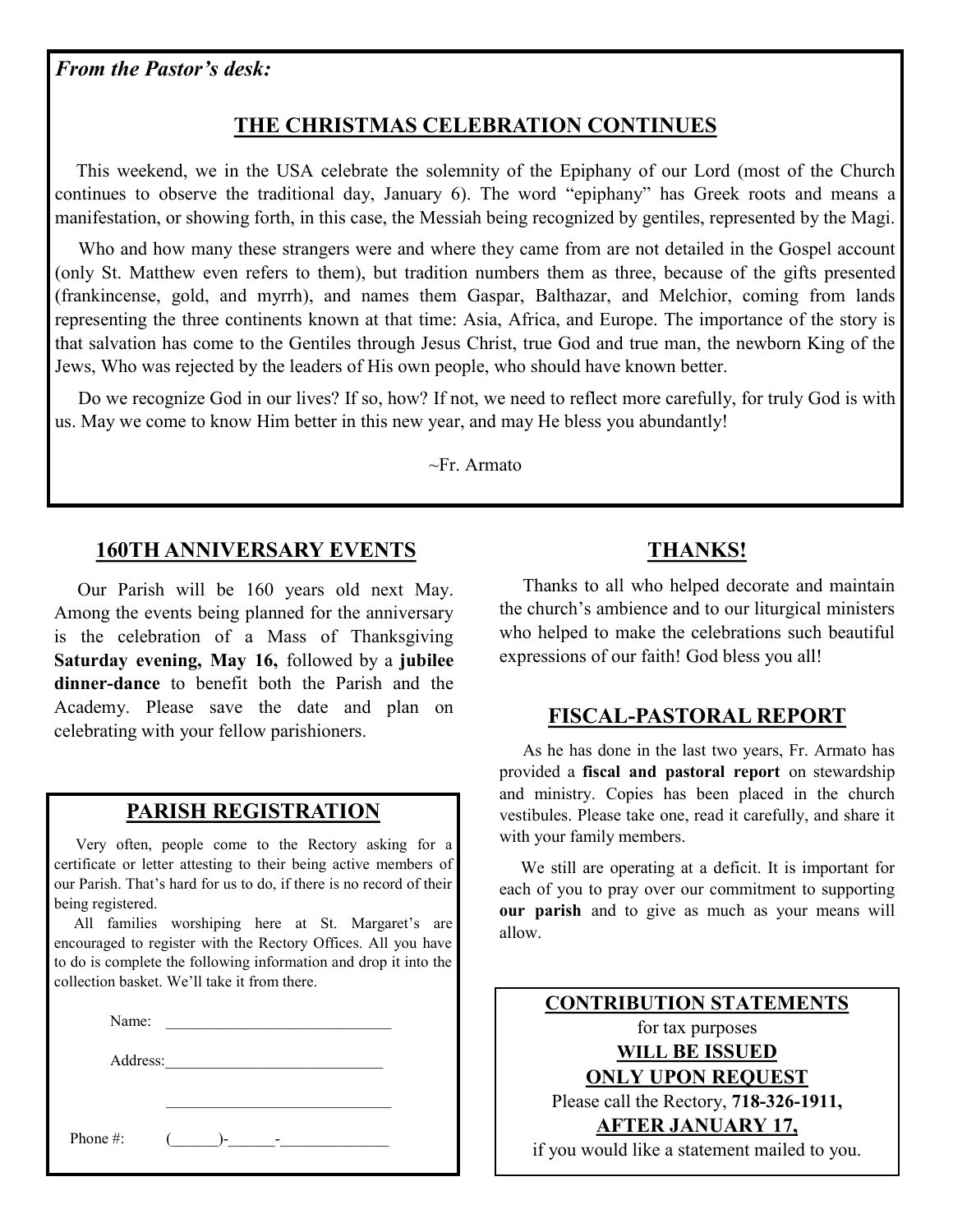*From the Pastor's desk:*

## **THE CHRISTMAS CELEBRATION CONTINUES**

 This weekend, we in the USA celebrate the solemnity of the Epiphany of our Lord (most of the Church continues to observe the traditional day, January 6). The word "epiphany" has Greek roots and means a manifestation, or showing forth, in this case, the Messiah being recognized by gentiles, represented by the Magi.

 Who and how many these strangers were and where they came from are not detailed in the Gospel account (only St. Matthew even refers to them), but tradition numbers them as three, because of the gifts presented (frankincense, gold, and myrrh), and names them Gaspar, Balthazar, and Melchior, coming from lands representing the three continents known at that time: Asia, Africa, and Europe. The importance of the story is that salvation has come to the Gentiles through Jesus Christ, true God and true man, the newborn King of the Jews, Who was rejected by the leaders of His own people, who should have known better.

 Do we recognize God in our lives? If so, how? If not, we need to reflect more carefully, for truly God is with us. May we come to know Him better in this new year, and may He bless you abundantly!

~Fr. Armato

## **160TH ANNIVERSARY EVENTS**

 Our Parish will be 160 years old next May. Among the events being planned for the anniversary is the celebration of a Mass of Thanksgiving **Saturday evening, May 16,** followed by a **jubilee dinner-dance** to benefit both the Parish and the Academy. Please save the date and plan on celebrating with your fellow parishioners.

### **PARISH REGISTRATION**

 Very often, people come to the Rectory asking for a certificate or letter attesting to their being active members of our Parish. That's hard for us to do, if there is no record of their being registered.

 All families worshiping here at St. Margaret's are encouraged to register with the Rectory Offices. All you have to do is complete the following information and drop it into the collection basket. We'll take it from there.

| Name:    |                                                    |  |
|----------|----------------------------------------------------|--|
| Address: | <u> 1980 - John Stone, Amerikaansk politiker (</u> |  |
|          |                                                    |  |
| Phone #: | $\mathbf{L}$                                       |  |

## **THANKS!**

 Thanks to all who helped decorate and maintain the church's ambience and to our liturgical ministers who helped to make the celebrations such beautiful expressions of our faith! God bless you all!

### **FISCAL-PASTORAL REPORT**

 As he has done in the last two years, Fr. Armato has provided a **fiscal and pastoral report** on stewardship and ministry. Copies has been placed in the church vestibules. Please take one, read it carefully, and share it with your family members.

 We still are operating at a deficit. It is important for each of you to pray over our commitment to supporting **our parish** and to give as much as your means will allow.

| <b>CONTRIBUTION STATEMENTS</b>               |  |  |
|----------------------------------------------|--|--|
| for tax purposes                             |  |  |
| WILL BE ISSUED                               |  |  |
| <b>ONLY UPON REQUEST</b>                     |  |  |
| Please call the Rectory, 718-326-1911,       |  |  |
| <b>AFTER JANUARY 17,</b>                     |  |  |
| if you would like a statement mailed to you. |  |  |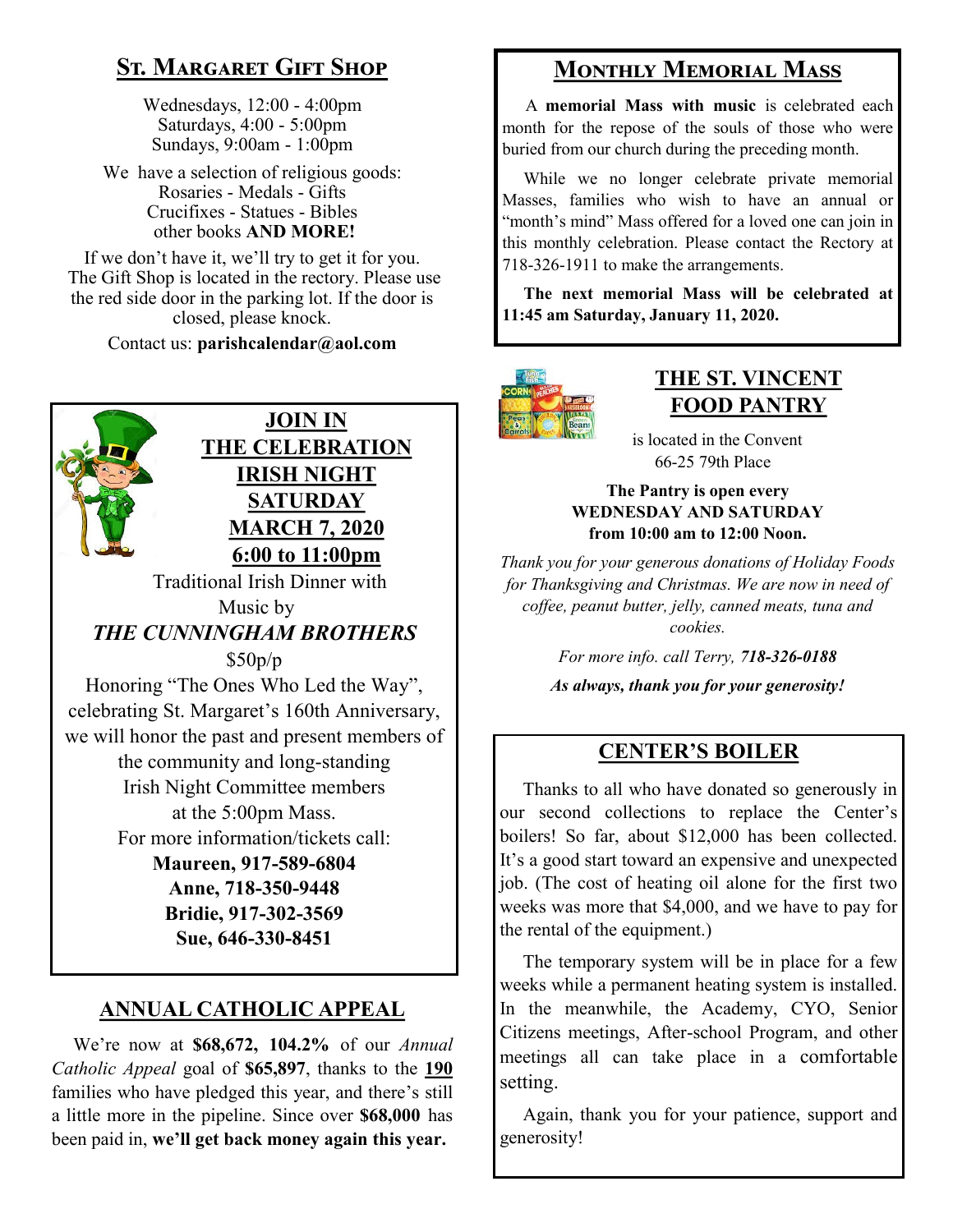# **St. Margaret Gift Shop**

Wednesdays, 12:00 - 4:00pm Saturdays, 4:00 - 5:00pm Sundays, 9:00am - 1:00pm

We have a selection of religious goods: Rosaries - Medals - Gifts Crucifixes - Statues - Bibles other books **AND MORE!**

If we don't have it, we'll try to get it for you. The Gift Shop is located in the rectory. Please use the red side door in the parking lot. If the door is closed, please knock.

Contact us: **parishcalendar@aol.com**



## **JOIN IN THE CELEBRATION IRISH NIGHT SATURDAY MARCH 7, 2020 6:00 to 11:00pm**

 Traditional Irish Dinner with Music by *THE CUNNINGHAM BROTHERS* \$50p/p

Honoring "The Ones Who Led the Way", celebrating St. Margaret's 160th Anniversary, we will honor the past and present members of the community and long-standing Irish Night Committee members at the 5:00pm Mass. For more information/tickets call: **Maureen, 917-589-6804 Anne, 718-350-9448 Bridie, 917-302-3569 Sue, 646-330-8451**

# **ANNUAL CATHOLIC APPEAL**

 We're now at **\$68,672, 104.2%** of our *Annual Catholic Appeal* goal of **\$65,897**, thanks to the **190** families who have pledged this year, and there's still a little more in the pipeline. Since over **\$68,000** has been paid in, **we'll get back money again this year.** 

# **Monthly Memorial Mass**

 A **memorial Mass with music** is celebrated each month for the repose of the souls of those who were buried from our church during the preceding month.

 While we no longer celebrate private memorial Masses, families who wish to have an annual or "month's mind" Mass offered for a loved one can join in this monthly celebration. Please contact the Rectory at 718-326-1911 to make the arrangements.

 **The next memorial Mass will be celebrated at 11:45 am Saturday, January 11, 2020.** 



## **THE ST. VINCENT FOOD PANTRY**

 is located in the Convent 66-25 79th Place

#### **The Pantry is open every WEDNESDAY AND SATURDAY from 10:00 am to 12:00 Noon.**

*Thank you for your generous donations of Holiday Foods for Thanksgiving and Christmas. We are now in need of coffee, peanut butter, jelly, canned meats, tuna and cookies.*

> *For more info. call Terry, 718-326-0188 As always, thank you for your generosity!*

# **CENTER'S BOILER**

 Thanks to all who have donated so generously in our second collections to replace the Center's boilers! So far, about \$12,000 has been collected. It's a good start toward an expensive and unexpected job. (The cost of heating oil alone for the first two weeks was more that \$4,000, and we have to pay for the rental of the equipment.)

 The temporary system will be in place for a few weeks while a permanent heating system is installed. In the meanwhile, the Academy, CYO, Senior Citizens meetings, After-school Program, and other meetings all can take place in a comfortable setting.

 Again, thank you for your patience, support and generosity!